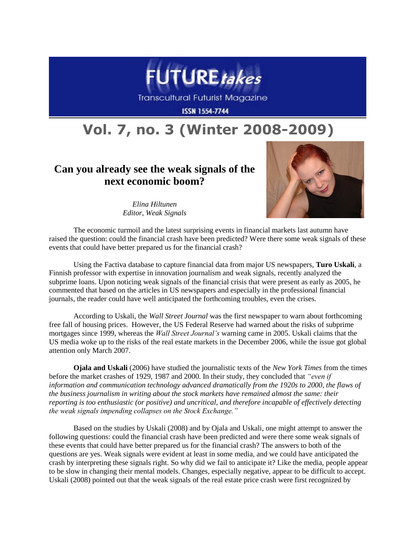

**Transcultural Futurist Magazine** 

**ISSN 1554-7744** 

## **Vol. 7, no. 3 (Winter 2008-2009)**

## **Can you already see the weak signals of the next economic boom?**



*Elina Hiltunen Editor, Weak Signals*

The economic turmoil and the latest surprising events in financial markets last autumn have raised the question: could the financial crash have been predicted? Were there some weak signals of these events that could have better prepared us for the financial crash?

Using the Factiva database to capture financial data from major US newspapers, **Turo Uskali**, a Finnish professor with expertise in innovation journalism and weak signals, recently analyzed the subprime loans. Upon noticing weak signals of the financial crisis that were present as early as 2005, he commented that based on the articles in US newspapers and especially in the professional financial journals, the reader could have well anticipated the forthcoming troubles, even the crises.

According to Uskali, the *Wall Street Journal* was the first newspaper to warn about forthcoming free fall of housing prices. However, the US Federal Reserve had warned about the risks of subprime mortgages since 1999, whereas the *Wall Street Journal's* warning came in 2005. Uskali claims that the US media woke up to the risks of the real estate markets in the December 2006, while the issue got global attention only March 2007.

**Ojala and Uskali** (2006) have studied the journalistic texts of the *New York Times* from the times before the market crashes of 1929, 1987 and 2000. In their study, they concluded that *"even if information and communication technology advanced dramatically from the 1920s to 2000, the flaws of the business journalism in writing about the stock markets have remained almost the same: their reporting is too enthusiastic (or positive) and uncritical, and therefore incapable of effectively detecting the weak signals impending collapses on the Stock Exchange."*

Based on the studies by Uskali (2008) and by Ojala and Uskali, one might attempt to answer the following questions: could the financial crash have been predicted and were there some weak signals of these events that could have better prepared us for the financial crash? The answers to both of the questions are yes. Weak signals were evident at least in some media, and we could have anticipated the crash by interpreting these signals right. So why did we fail to anticipate it? Like the media, people appear to be slow in changing their mental models. Changes, especially negative, appear to be difficult to accept. Uskali (2008) pointed out that the weak signals of the real estate price crash were first recognized by